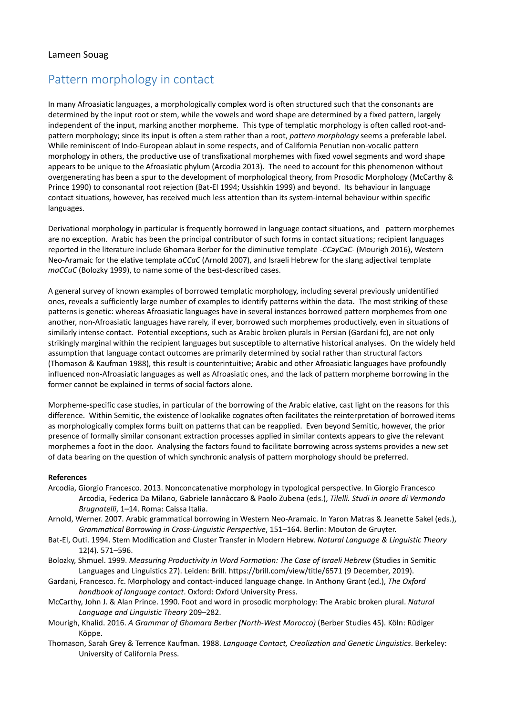## Pattern morphology in contact

In many Afroasiatic languages, a morphologically complex word is often structured such that the consonants are determined by the input root or stem, while the vowels and word shape are determined by a fixed pattern, largely independent of the input, marking another morpheme. This type of templatic morphology is often called root-andpattern morphology; since its input is often a stem rather than a root, *pattern morphology* seems a preferable label. While reminiscent of Indo-European ablaut in some respects, and of California Penutian non-vocalic pattern morphology in others, the productive use of transfixational morphemes with fixed vowel segments and word shape appears to be unique to the Afroasiatic phylum (Arcodia 2013). The need to account for this phenomenon without overgenerating has been a spur to the development of morphological theory, from Prosodic Morphology (McCarthy & Prince 1990) to consonantal root rejection (Bat-El 1994; Ussishkin 1999) and beyond. Its behaviour in language contact situations, however, has received much less attention than its system-internal behaviour within specific languages.

Derivational morphology in particular is frequently borrowed in language contact situations, and pattern morphemes are no exception. Arabic has been the principal contributor of such forms in contact situations; recipient languages reported in the literature include Ghomara Berber for the diminutive template -*CCəyCəC-* (Mourigh 2016), Western Neo-Aramaic for the elative template *aCCaC* (Arnold 2007), and Israeli Hebrew for the slang adjectival template *maCCuC* (Bolozky 1999), to name some of the best-described cases.

A general survey of known examples of borrowed templatic morphology, including several previously unidentified ones, reveals a sufficiently large number of examples to identify patterns within the data. The most striking of these patterns is genetic: whereas Afroasiatic languages have in several instances borrowed pattern morphemes from one another, non-Afroasiatic languages have rarely, if ever, borrowed such morphemes productively, even in situations of similarly intense contact. Potential exceptions, such as Arabic broken plurals in Persian (Gardani fc), are not only strikingly marginal within the recipient languages but susceptible to alternative historical analyses. On the widely held assumption that language contact outcomes are primarily determined by social rather than structural factors (Thomason & Kaufman 1988), this result is counterintuitive; Arabic and other Afroasiatic languages have profoundly influenced non-Afroasiatic languages as well as Afroasiatic ones, and the lack of pattern morpheme borrowing in the former cannot be explained in terms of social factors alone.

Morpheme-specific case studies, in particular of the borrowing of the Arabic elative, cast light on the reasons for this difference. Within Semitic, the existence of lookalike cognates often facilitates the reinterpretation of borrowed items as morphologically complex forms built on patterns that can be reapplied. Even beyond Semitic, however, the prior presence of formally similar consonant extraction processes applied in similar contexts appears to give the relevant morphemes a foot in the door. Analysing the factors found to facilitate borrowing across systems provides a new set of data bearing on the question of which synchronic analysis of pattern morphology should be preferred.

## **References**

- Arcodia, Giorgio Francesco. 2013. Nonconcatenative morphology in typological perspective. In Giorgio Francesco Arcodia, Federica Da Milano, Gabriele Iannàccaro & Paolo Zubena (eds.), *Tilelli. Studi in onore di Vermondo Brugnatelli*, 1–14. Roma: Caissa Italia.
- Arnold, Werner. 2007. Arabic grammatical borrowing in Western Neo-Aramaic. In Yaron Matras & Jeanette Sakel (eds.), *Grammatical Borrowing in Cross-Linguistic Perspective*, 151–164. Berlin: Mouton de Gruyter.
- Bat-El, Outi. 1994. Stem Modification and Cluster Transfer in Modern Hebrew. *Natural Language & Linguistic Theory* 12(4). 571–596.
- Bolozky, Shmuel. 1999. *Measuring Productivity in Word Formation: The Case of Israeli Hebrew* (Studies in Semitic Languages and Linguistics 27). Leiden: Brill. https://brill.com/view/title/6571 (9 December, 2019).
- Gardani, Francesco. fc. Morphology and contact-induced language change. In Anthony Grant (ed.), *The Oxford handbook of language contact*. Oxford: Oxford University Press.
- McCarthy, John J. & Alan Prince. 1990. Foot and word in prosodic morphology: The Arabic broken plural. *Natural Language and Linguistic Theory* 209–282.
- Mourigh, Khalid. 2016. *A Grammar of Ghomara Berber (North-West Morocco)* (Berber Studies 45). Köln: Rüdiger Köppe.
- Thomason, Sarah Grey & Terrence Kaufman. 1988. *Language Contact, Creolization and Genetic Linguistics*. Berkeley: University of California Press.